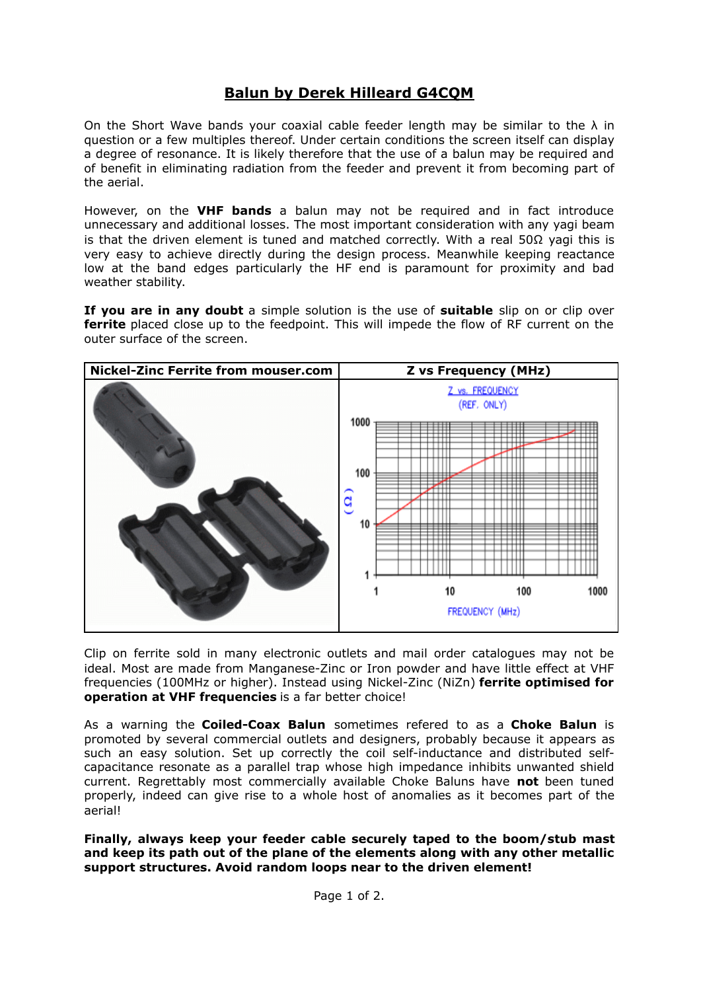## **Balun by Derek Hilleard G4CQM**

On the Short Wave bands your coaxial cable feeder length may be similar to the  $\lambda$  in question or a few multiples thereof. Under certain conditions the screen itself can display a degree of resonance. It is likely therefore that the use of a balun may be required and of benefit in eliminating radiation from the feeder and prevent it from becoming part of the aerial.

However, on the **VHF bands** a balun may not be required and in fact introduce unnecessary and additional losses. The most important consideration with any yagi beam is that the driven element is tuned and matched correctly. With a real 50 $\Omega$  yagi this is very easy to achieve directly during the design process. Meanwhile keeping reactance low at the band edges particularly the HF end is paramount for proximity and bad weather stability.

**If you are in any doubt** a simple solution is the use of **suitable** slip on or clip over **ferrite** placed close up to the feedpoint. This will impede the flow of RF current on the outer surface of the screen.



Clip on ferrite sold in many electronic outlets and mail order catalogues may not be ideal. Most are made from Manganese-Zinc or Iron powder and have little effect at VHF frequencies (100MHz or higher). Instead using Nickel-Zinc (NiZn) **ferrite optimised for operation at VHF frequencies** is a far better choice!

As a warning the **Coiled-Coax Balun** sometimes refered to as a **Choke Balun** is promoted by several commercial outlets and designers, probably because it appears as such an easy solution. Set up correctly the coil self-inductance and distributed selfcapacitance resonate as a parallel trap whose high impedance inhibits unwanted shield current. Regrettably most commercially available Choke Baluns have **not** been tuned properly, indeed can give rise to a whole host of anomalies as it becomes part of the aerial!

**Finally, always keep your feeder cable securely taped to the boom/stub mast and keep its path out of the plane of the elements along with any other metallic support structures. Avoid random loops near to the driven element!**